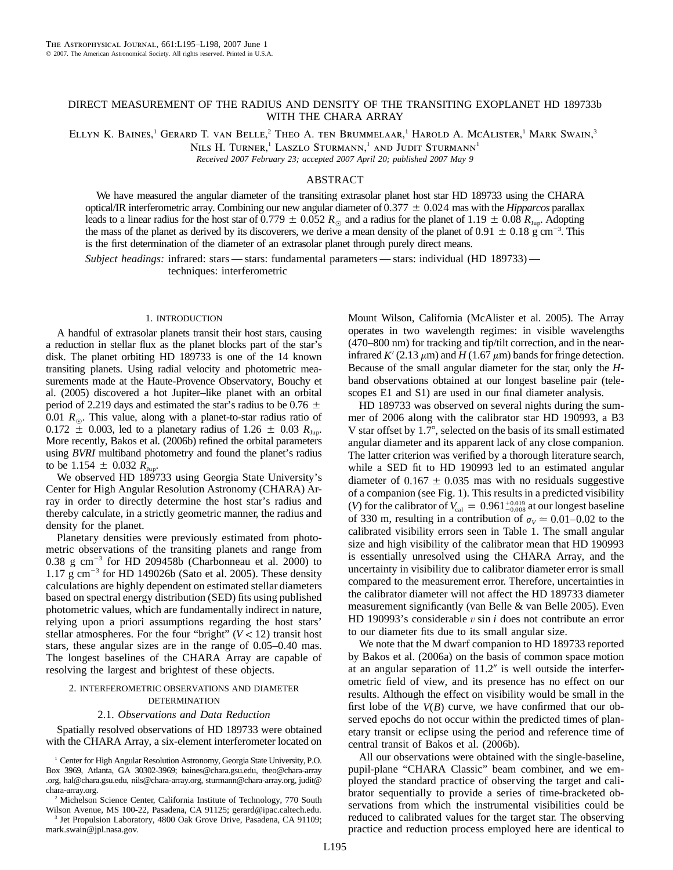## DIRECT MEASUREMENT OF THE RADIUS AND DENSITY OF THE TRANSITING EXOPLANET HD 189733b WITH THE CHARA ARRAY

ELLYN K. BAINES,<sup>1</sup> GERARD T. VAN BELLE,<sup>2</sup> THEO A. TEN BRUMMELAAR,<sup>1</sup> HAROLD A. MCALISTER,<sup>1</sup> MARK SWAIN,<sup>3</sup>

NILS H. TURNER,<sup>1</sup> LASZLO STURMANN,<sup>1</sup> AND JUDIT STURMANN<sup>1</sup>

*Received 2007 February 23; accepted 2007 April 20; published 2007 May 9*

# ABSTRACT

We have measured the angular diameter of the transiting extrasolar planet host star HD 189733 using the CHARA optical/IR interferometric array. Combining our new angular diameter of  $0.377 \pm 0.024$  mas with the *Hipparcos* parallax leads to a linear radius for the host star of 0.779  $\pm$  0.052  $R_{\odot}$  and a radius for the planet of 1.19  $\pm$  0.08  $R_{\rm Jup}$ . Adopting the mass of the planet as derived by its discoverers, we derive a mean density of the planet of  $0.91 \pm 0.18$  g cm<sup>-3</sup>. This is the first determination of the diameter of an extrasolar planet through purely direct means.

*Subject headings:* infrared: stars — stars: fundamental parameters — stars: individual (HD 189733) techniques: interferometric

#### 1. INTRODUCTION

A handful of extrasolar planets transit their host stars, causing a reduction in stellar flux as the planet blocks part of the star's disk. The planet orbiting HD 189733 is one of the 14 known transiting planets. Using radial velocity and photometric measurements made at the Haute-Provence Observatory, Bouchy et al. (2005) discovered a hot Jupiter–like planet with an orbital period of 2.219 days and estimated the star's radius to be 0.76  $\pm$ 0.01  $R_{\odot}$ . This value, along with a planet-to-star radius ratio of  $0.172 \pm 0.003$ , led to a planetary radius of 1.26  $\pm$  0.03  $R_{\text{Jup}}$ . More recently, Bakos et al. (2006b) refined the orbital parameters using *BVRI* multiband photometry and found the planet's radius to be 1.154  $\pm$  0.032  $R_{\text{Jup}}$ .

We observed HD 189733 using Georgia State University's Center for High Angular Resolution Astronomy (CHARA) Array in order to directly determine the host star's radius and thereby calculate, in a strictly geometric manner, the radius and density for the planet.

Planetary densities were previously estimated from photometric observations of the transiting planets and range from  $0.38$  g cm<sup>-3</sup> for HD 209458b (Charbonneau et al. 2000) to  $1.17 \text{ g cm}^{-3}$  for HD 149026b (Sato et al. 2005). These density calculations are highly dependent on estimated stellar diameters based on spectral energy distribution (SED) fits using published photometric values, which are fundamentally indirect in nature, relying upon a priori assumptions regarding the host stars' stellar atmospheres. For the four "bright"  $(V < 12)$  transit host stars, these angular sizes are in the range of 0.05–0.40 mas. The longest baselines of the CHARA Array are capable of resolving the largest and brightest of these objects.

# 2. INTERFEROMETRIC OBSERVATIONS AND DIAMETER **DETERMINATION**

#### 2.1. *Observations and Data Reduction*

Spatially resolved observations of HD 189733 were obtained with the CHARA Array, a six-element interferometer located on

<sup>1</sup> Center for High Angular Resolution Astronomy, Georgia State University, P.O. Box 3969, Atlanta, GA 30302-3969; baines@chara.gsu.edu, theo@chara-array .org, hal@chara.gsu.edu, nils@chara-array.org, sturmann@chara-array.org, judit@ chara-array.org.

<sup>2</sup> Michelson Science Center, California Institute of Technology, 770 South Wilson Avenue, MS 100-22, Pasadena, CA 91125; gerard@ipac.caltech.edu.

<sup>3</sup> Jet Propulsion Laboratory, 4800 Oak Grove Drive, Pasadena, CA 91109; mark.swain@jpl.nasa.gov.

Mount Wilson, California (McAlister et al. 2005). The Array operates in two wavelength regimes: in visible wavelengths (470–800 nm) for tracking and tip/tilt correction, and in the nearinfrared  $K'(2.13 \mu m)$  and  $H(1.67 \mu m)$  bands for fringe detection. Because of the small angular diameter for the star, only the *H*band observations obtained at our longest baseline pair (telescopes E1 and S1) are used in our final diameter analysis.

HD 189733 was observed on several nights during the summer of 2006 along with the calibrator star HD 190993, a B3 V star offset by  $1.7^\circ$ , selected on the basis of its small estimated angular diameter and its apparent lack of any close companion. The latter criterion was verified by a thorough literature search, while a SED fit to HD 190993 led to an estimated angular diameter of  $0.167 \pm 0.035$  mas with no residuals suggestive of a companion (see Fig. 1). This results in a predicted visibility (*V*) for the calibrator of  $V_{\text{cal}} = 0.961^{+0.019}_{-0.008}$  at our longest baseline of 330 m, resulting in a contribution of  $\sigma_v \approx 0.01-0.02$  to the calibrated visibility errors seen in Table 1. The small angular size and high visibility of the calibrator mean that HD 190993 is essentially unresolved using the CHARA Array, and the uncertainty in visibility due to calibrator diameter error is small compared to the measurement error. Therefore, uncertainties in the calibrator diameter will not affect the HD 189733 diameter measurement significantly (van Belle & van Belle 2005). Even HD 190993's considerable  $v \sin i$  does not contribute an error to our diameter fits due to its small angular size.

We note that the M dwarf companion to HD 189733 reported by Bakos et al. (2006a) on the basis of common space motion at an angular separation of  $11.2$ " is well outside the interferometric field of view, and its presence has no effect on our results. Although the effect on visibility would be small in the first lobe of the  $V(B)$  curve, we have confirmed that our observed epochs do not occur within the predicted times of planetary transit or eclipse using the period and reference time of central transit of Bakos et al. (2006b).

All our observations were obtained with the single-baseline, pupil-plane "CHARA Classic" beam combiner, and we employed the standard practice of observing the target and calibrator sequentially to provide a series of time-bracketed observations from which the instrumental visibilities could be reduced to calibrated values for the target star. The observing practice and reduction process employed here are identical to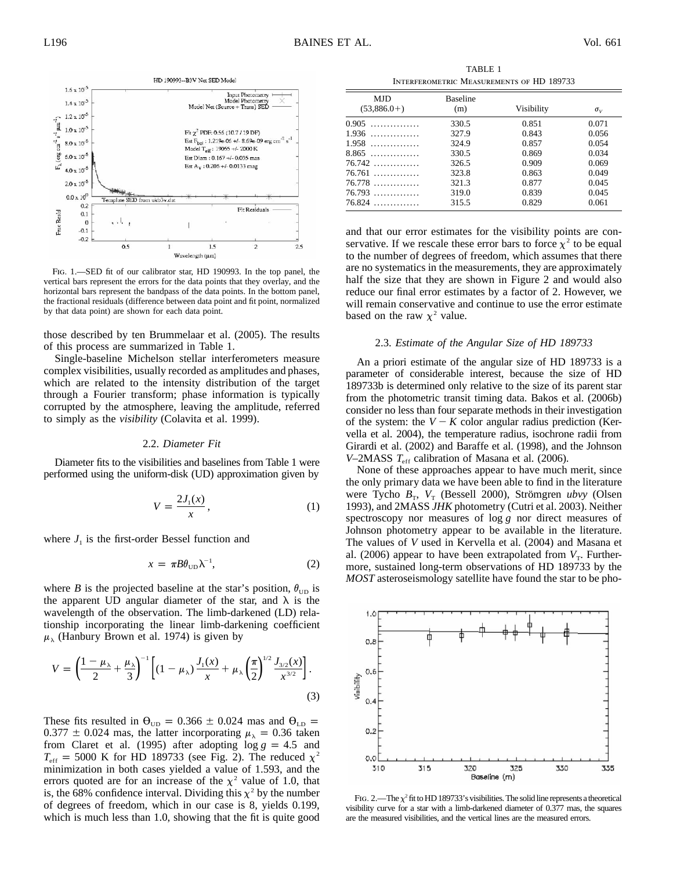

Fig. 1.—SED fit of our calibrator star, HD 190993. In the top panel, the vertical bars represent the errors for the data points that they overlay, and the horizontal bars represent the bandpass of the data points. In the bottom panel, the fractional residuals (difference between data point and fit point, normalized by that data point) are shown for each data point.

those described by ten Brummelaar et al. (2005). The results of this process are summarized in Table 1.

Single-baseline Michelson stellar interferometers measure complex visibilities, usually recorded as amplitudes and phases, which are related to the intensity distribution of the target through a Fourier transform; phase information is typically corrupted by the atmosphere, leaving the amplitude, referred to simply as the *visibility* (Colavita et al. 1999).

### 2.2. *Diameter Fit*

Diameter fits to the visibilities and baselines from Table 1 were performed using the uniform-disk (UD) approximation given by

$$
V = \frac{2J_1(x)}{x},\tag{1}
$$

where  $J_1$  is the first-order Bessel function and

$$
x = \pi B \theta_{\text{UD}} \lambda^{-1},\tag{2}
$$

where *B* is the projected baseline at the star's position,  $\theta_{\text{UD}}$  is the apparent UD angular diameter of the star, and  $\lambda$  is the wavelength of the observation. The limb-darkened (LD) relationship incorporating the linear limb-darkening coefficient  $\mu_{\lambda}$  (Hanbury Brown et al. 1974) is given by

$$
V = \left(\frac{1-\mu_{\lambda}}{2} + \frac{\mu_{\lambda}}{3}\right)^{-1} \left[ (1-\mu_{\lambda}) \frac{J_1(x)}{x} + \mu_{\lambda} \left(\frac{\pi}{2}\right)^{1/2} \frac{J_{3/2}(x)}{x^{3/2}} \right].
$$
\n(3)

These fits resulted in  $\theta_{UD} = 0.366 \pm 0.024$  mas and  $\theta_{LD} =$  $0.377 \pm 0.024$  mas, the latter incorporating  $\mu_{\lambda} = 0.36$  taken from Claret et al. (1995) after adopting  $log\ g = 4.5$  and  $T_{\text{eff}}$  = 5000 K for HD 189733 (see Fig. 2). The reduced  $\chi^2$ minimization in both cases yielded a value of 1.593, and the errors quoted are for an increase of the  $\chi^2$  value of 1.0, that is, the 68% confidence interval. Dividing this  $\chi^2$  by the number of degrees of freedom, which in our case is 8, yields 0.199, which is much less than 1.0, showing that the fit is quite good

TABLE 1 Interferometric Measurements of HD 189733

| <b>MJD</b><br>$(53,886.0+)$ | <b>Baseline</b><br>(m) | Visibility | $\sigma_v$ |
|-----------------------------|------------------------|------------|------------|
| $0.905$                     | 330.5                  | 0.851      | 0.071      |
| $1.936$                     | 327.9                  | 0.843      | 0.056      |
| $1.958$                     | 324.9                  | 0.857      | 0.054      |
| $8.865$                     | 330.5                  | 0.869      | 0.034      |
| 76.742                      | 326.5                  | 0.909      | 0.069      |
| $76.761$                    | 323.8                  | 0.863      | 0.049      |
| $76.778$                    | 321.3                  | 0.877      | 0.045      |
| $76.793$                    | 319.0                  | 0.839      | 0.045      |
| 76.824                      | 315.5                  | 0.829      | 0.061      |

and that our error estimates for the visibility points are conservative. If we rescale these error bars to force  $\chi^2$  to be equal to the number of degrees of freedom, which assumes that there are no systematics in the measurements, they are approximately half the size that they are shown in Figure 2 and would also reduce our final error estimates by a factor of 2. However, we will remain conservative and continue to use the error estimate based on the raw  $\chi^2$  value.

### 2.3. *Estimate of the Angular Size of HD 189733*

An a priori estimate of the angular size of HD 189733 is a parameter of considerable interest, because the size of HD 189733b is determined only relative to the size of its parent star from the photometric transit timing data. Bakos et al. (2006b) consider no less than four separate methods in their investigation of the system: the  $V - K$  color angular radius prediction (Kervella et al. 2004), the temperature radius, isochrone radii from Girardi et al. (2002) and Baraffe et al. (1998), and the Johnson *V*–2MASS  $T_{\text{eff}}$  calibration of Masana et al. (2006).

None of these approaches appear to have much merit, since the only primary data we have been able to find in the literature were Tycho  $B_T$ ,  $V_T$  (Bessell 2000), Strömgren *ubvy* (Olsen 1993), and 2MASS *JHK* photometry (Cutri et al. 2003). Neither spectroscopy nor measures of log *g* nor direct measures of Johnson photometry appear to be available in the literature. The values of *V* used in Kervella et al. (2004) and Masana et al. (2006) appear to have been extrapolated from  $V<sub>T</sub>$ . Furthermore, sustained long-term observations of HD 189733 by the *MOST* asteroseismology satellite have found the star to be pho-



FIG. 2.—The  $\chi^2$  fit to HD 189733's visibilities. The solid line represents a theoretical visibility curve for a star with a limb-darkened diameter of 0.377 mas, the squares are the measured visibilities, and the vertical lines are the measured errors.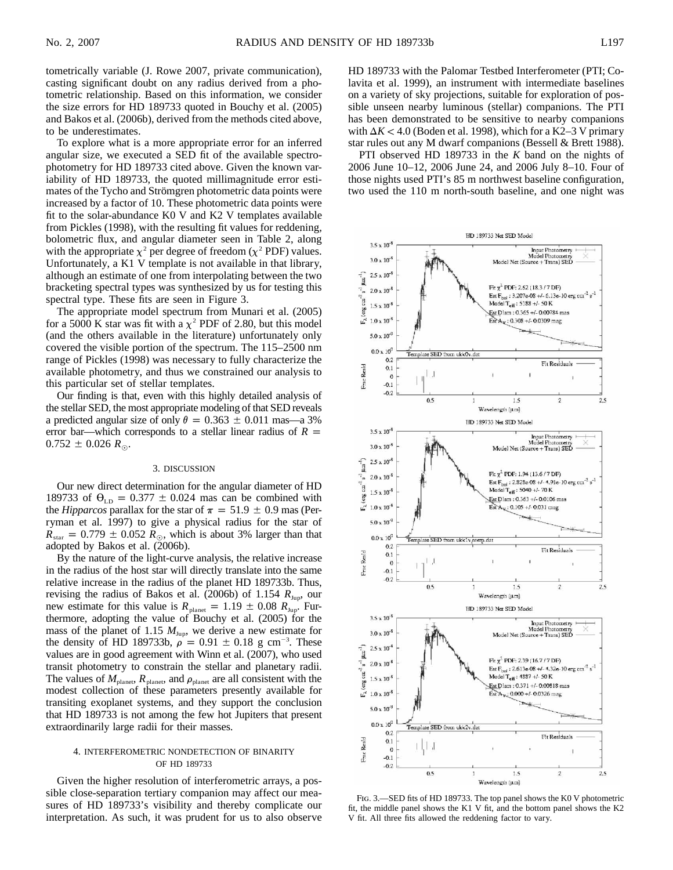tometrically variable (J. Rowe 2007, private communication), casting significant doubt on any radius derived from a photometric relationship. Based on this information, we consider the size errors for HD 189733 quoted in Bouchy et al. (2005) and Bakos et al. (2006b), derived from the methods cited above, to be underestimates.

To explore what is a more appropriate error for an inferred angular size, we executed a SED fit of the available spectrophotometry for HD 189733 cited above. Given the known variability of HD 189733, the quoted millimagnitude error estimates of the Tycho and Strömgren photometric data points were increased by a factor of 10. These photometric data points were fit to the solar-abundance K0 V and K2 V templates available from Pickles (1998), with the resulting fit values for reddening, bolometric flux, and angular diameter seen in Table 2, along with the appropriate  $\chi^2$  per degree of freedom ( $\chi^2$  PDF) values. Unfortunately, a K1 V template is not available in that library, although an estimate of one from interpolating between the two bracketing spectral types was synthesized by us for testing this spectral type. These fits are seen in Figure 3.

The appropriate model spectrum from Munari et al. (2005) for a 5000 K star was fit with a  $\chi^2$  PDF of 2.80, but this model (and the others available in the literature) unfortunately only covered the visible portion of the spectrum. The 115–2500 nm range of Pickles (1998) was necessary to fully characterize the available photometry, and thus we constrained our analysis to this particular set of stellar templates.

Our finding is that, even with this highly detailed analysis of the stellar SED, the most appropriate modeling of that SED reveals a predicted angular size of only  $\theta = 0.363 \pm 0.011$  mas—a 3% error bar—which corresponds to a stellar linear radius of  $R =$  $0.752 \pm 0.026 R_{\odot}$ .

#### 3. DISCUSSION

Our new direct determination for the angular diameter of HD 189733 of  $\theta_{LD} = 0.377 \pm 0.024$  mas can be combined with the *Hipparcos* parallax for the star of  $\pi = 51.9 \pm 0.9$  mas (Perryman et al. 1997) to give a physical radius for the star of  $R_{\text{star}} = 0.779 \pm 0.052 R_{\odot}$ , which is about 3% larger than that adopted by Bakos et al. (2006b).

By the nature of the light-curve analysis, the relative increase in the radius of the host star will directly translate into the same relative increase in the radius of the planet HD 189733b. Thus, revising the radius of Bakos et al. (2006b) of 1.154  $R_{\text{Jup}}$ , our new estimate for this value is  $R_{\text{planet}} = 1.19 \pm 0.08 R_{\text{Jup}}$ . Furthermore, adopting the value of Bouchy et al. (2005) for the mass of the planet of 1.15  $M_{\text{Jup}}$ , we derive a new estimate for the density of HD 189733b,  $\rho = 0.91 \pm 0.18$  g cm<sup>-3</sup>. These values are in good agreement with Winn et al. (2007), who used transit photometry to constrain the stellar and planetary radii. The values of  $M_{\text{planet}}$ ,  $R_{\text{planet}}$ , and  $\rho_{\text{planet}}$  are all consistent with the modest collection of these parameters presently available for transiting exoplanet systems, and they support the conclusion that HD 189733 is not among the few hot Jupiters that present extraordinarily large radii for their masses.

### 4. INTERFEROMETRIC NONDETECTION OF BINARITY OF HD 189733

Given the higher resolution of interferometric arrays, a possible close-separation tertiary companion may affect our measures of HD 189733's visibility and thereby complicate our interpretation. As such, it was prudent for us to also observe HD 189733 with the Palomar Testbed Interferometer (PTI; Colavita et al. 1999), an instrument with intermediate baselines on a variety of sky projections, suitable for exploration of possible unseen nearby luminous (stellar) companions. The PTI has been demonstrated to be sensitive to nearby companions with  $\Delta K$  < 4.0 (Boden et al. 1998), which for a K2–3 V primary star rules out any M dwarf companions (Bessell & Brett 1988).

PTI observed HD 189733 in the *K* band on the nights of 2006 June 10–12, 2006 June 24, and 2006 July 8–10. Four of those nights used PTI's 85 m northwest baseline configuration, two used the 110 m north-south baseline, and one night was



Fig. 3.—SED fits of HD 189733. The top panel shows the K0 V photometric fit, the middle panel shows the K1 V fit, and the bottom panel shows the K2 V fit. All three fits allowed the reddening factor to vary.